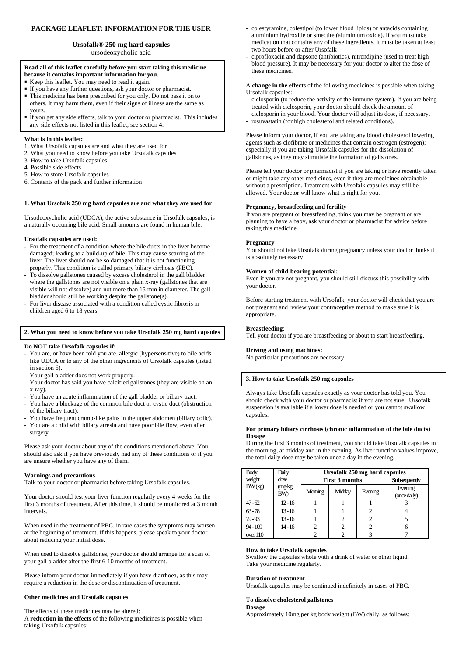# **PACKAGE LEAFLET: INFORMATION FOR THE USER**

# **Ursofalk® 250 mg hard capsules**

ursodeoxycholic acid

#### **Read all of this leaflet carefully before you start taking this medicine because it contains important information for you.**

- Keep this leaflet. You may need to read it again.
- If you have any further questions, ask your doctor or pharmacist. ■ This medicine has been prescribed for you only. Do not pass it on to others. It may harm them, even if their signs of illness are the same as yours.
- If you get any side effects, talk to your doctor or pharmacist. This includes any side effects not listed in this leaflet, see section 4.

## **What is in this leaflet:**

- 1. What Ursofalk capsules are and what they are used for
- 2. What you need to know before you take Ursofalk capsules
- 3. How to take Ursofalk capsules
- 4. Possible side effects
- 5. How to store Ursofalk capsules
- 6. Contents of the pack and further information

### **1. What Ursofalk 250 mg hard capsules are and what they are used for**

Ursodeoxycholic acid (UDCA), the active substance in Ursofalk capsules, is a naturally occurring bile acid. Small amounts are found in human bile.

### **Ursofalk capsules are used:**

- For the treatment of a condition where the bile ducts in the liver become damaged; leading to a build-up of bile. This may cause scarring of the liver. The liver should not be so damaged that it is not functioning properly. This condition is called primary biliary cirrhosis (PBC).
- To dissolve gallstones caused by excess cholesterol in the gall bladder where the gallstones are not visible on a plain x-ray (gallstones that are visible will not dissolve) and not more than 15 mm in diameter. The gall bladder should still be working despite the gallstone(s).
- For liver disease associated with a condition called cystic fibrosis in children aged 6 to 18 years.

# **2. What you need to know before you take Ursofalk 250 mg hard capsules**

# **Do NOT take Ursofalk capsules if:**

- You are, or have been told you are, allergic (hypersensitive) to bile acids like UDCA or to any of the other ingredients of Ursofalk capsules (listed in section 6).
- Your gall bladder does not work properly.
- Your doctor has said you have calcified gallstones (they are visible on an x-ray).
- You have an acute inflammation of the gall bladder or biliary tract.
- You have a blockage of the common bile duct or cystic duct (obstruction of the biliary tract).
- You have frequent cramp-like pains in the upper abdomen (biliary colic).
- You are a child with biliary atresia and have poor bile flow, even after surgery.

Please ask your doctor about any of the conditions mentioned above. You should also ask if you have previously had any of these conditions or if you are unsure whether you have any of them.

# **Warnings and precautions**

Talk to your doctor or pharmacist before taking Ursofalk capsules.

Your doctor should test your liver function regularly every 4 weeks for the first 3 months of treatment. After this time, it should be monitored at 3 month intervals.

When used in the treatment of PBC, in rare cases the symptoms may worsen at the beginning of treatment. If this happens, please speak to your doctor about reducing your initial dose.

When used to dissolve gallstones, your doctor should arrange for a scan of your gall bladder after the first 6-10 months of treatment.

Please inform your doctor immediately if you have diarrhoea, as this may require a reduction in the dose or discontinuation of treatment.

# **Other medicines and Ursofalk capsules**

The effects of these medicines may be altered: A **reduction in the effects** of the following medicines is possible when taking Ursofalk capsules:

- colestyramine, colestipol (to lower blood lipids) or antacids containing aluminium hydroxide or smectite (aluminium oxide). If you must take medication that contains any of these ingredients, it must be taken at least two hours before or after Ursofalk
- ciprofloxacin and dapsone (antibiotics), nitrendipine (used to treat high blood pressure). It may be necessary for your doctor to alter the dose of these medicines.

A **change in the effects** of the following medicines is possible when taking Ursofalk capsules:

- ciclosporin (to reduce the activity of the immune system). If you are being treated with ciclosporin, your doctor should check the amount of ciclosporin in your blood. Your doctor will adjust its dose, if necessary.
- rosuvastatin (for high cholesterol and related conditions).

Please inform your doctor, if you are taking any blood cholesterol lowering agents such as clofibrate or medicines that contain oestrogen (estrogen); especially if you are taking Ursofalk capsules for the dissolution of gallstones, as they may stimulate the formation of gallstones.

Please tell your doctor or pharmacist if you are taking or have recently taken or might take any other medicines, even if they are medicines obtainable without a prescription. Treatment with Ursofalk capsules may still be allowed. Your doctor will know what is right for you.

# **Pregnancy, breastfeeding and fertility**

If you are pregnant or breastfeeding, think you may be pregnant or are planning to have a baby, ask your doctor or pharmacist for advice before taking this medicine.

#### **Pregnancy**

You should not take Ursofalk during pregnancy unless your doctor thinks it is absolutely necessary.

### **Women of child-bearing potential**:

Even if you are not pregnant, you should still discuss this possibility with your doctor.

Before starting treatment with Ursofalk, your doctor will check that you are not pregnant and review your contraceptive method to make sure it is appropriate.

# **Breastfeeding**:

Tell your doctor if you are breastfeeding or about to start breastfeeding.

# **Driving and using machines:**

No particular precautions are necessary.

# **3. How to take Ursofalk 250 mg capsules**

Always take Ursofalk capsules exactly as your doctor has told you. You should check with your doctor or pharmacist if you are not sure. Ursofalk suspension is available if a lower dose is needed or you cannot swallow capsules.

### **For primary biliary cirrhosis (chronic inflammation of the bile ducts) Dosage**

During the first 3 months of treatment, you should take Ursofalk capsules in the morning, at midday and in the evening. As liver function values improve, the total daily dose may be taken once a day in the evening.

| Body       | Daily         | Ursofalk 250 mg hard capsules |                       |                     |                         |  |  |
|------------|---------------|-------------------------------|-----------------------|---------------------|-------------------------|--|--|
| weight     | dose          |                               | <b>First 3 months</b> | <b>Subsequently</b> |                         |  |  |
| BW(kg)     | (mg/kg<br>BW) | Moming                        | Midday                | Evening             | Evening<br>(once daily) |  |  |
| $47 - 62$  | $12 - 16$     |                               |                       |                     |                         |  |  |
| $63 - 78$  | $13 - 16$     |                               |                       |                     |                         |  |  |
| 79-93      | $13 - 16$     |                               |                       |                     |                         |  |  |
| $94 - 109$ | $14 - 16$     |                               | 2                     |                     |                         |  |  |
| over $110$ |               |                               |                       |                     |                         |  |  |

# **How to take Ursofalk capsules**

Swallow the capsules whole with a drink of water or other liquid. Take your medicine regularly.

# **Duration of treatment**

Ursofalk capsules may be continued indefinitely in cases of PBC.

# **To dissolve cholesterol gallstones**

**Dosage**

Approximately 10mg per kg body weight (BW) daily, as follows: